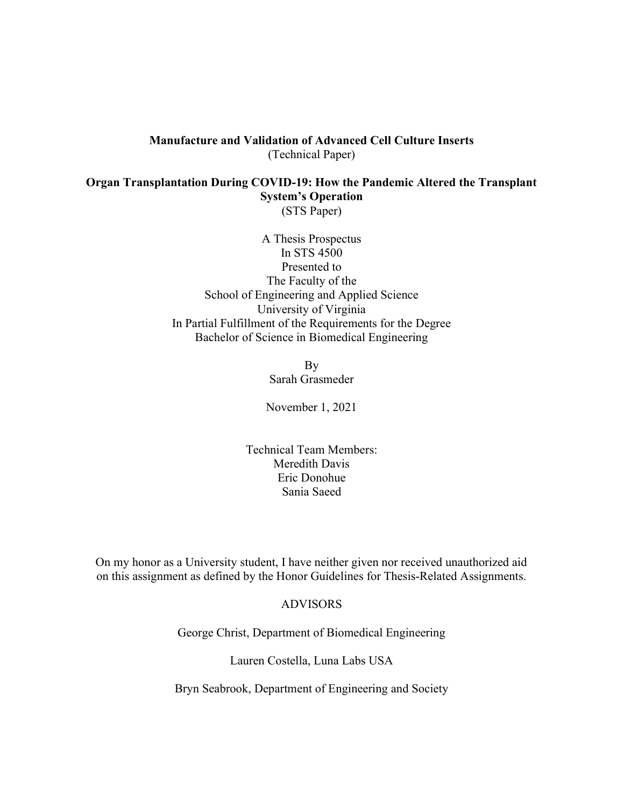# Manufacture and Validation of Advanced Cell Culture Inserts (Technical Paper)

Organ Transplantation During COVID-19: How the Pandemic Altered the Transplant System's Operation (STS Paper)

> A Thesis Prospectus In STS 4500 Presented to The Faculty of the School of Engineering and Applied Science University of Virginia In Partial Fulfillment of the Requirements for the Degree Bachelor of Science in Biomedical Engineering

> > By Sarah Grasmeder

November 1, 2021

Technical Team Members: Meredith Davis Eric Donohue Sania Saeed

On my honor as a University student, I have neither given nor received unauthorized aid on this assignment as defined by the Honor Guidelines for Thesis-Related Assignments.

### ADVISORS

George Christ, Department of Biomedical Engineering

Lauren Costella, Luna Labs USA

Bryn Seabrook, Department of Engineering and Society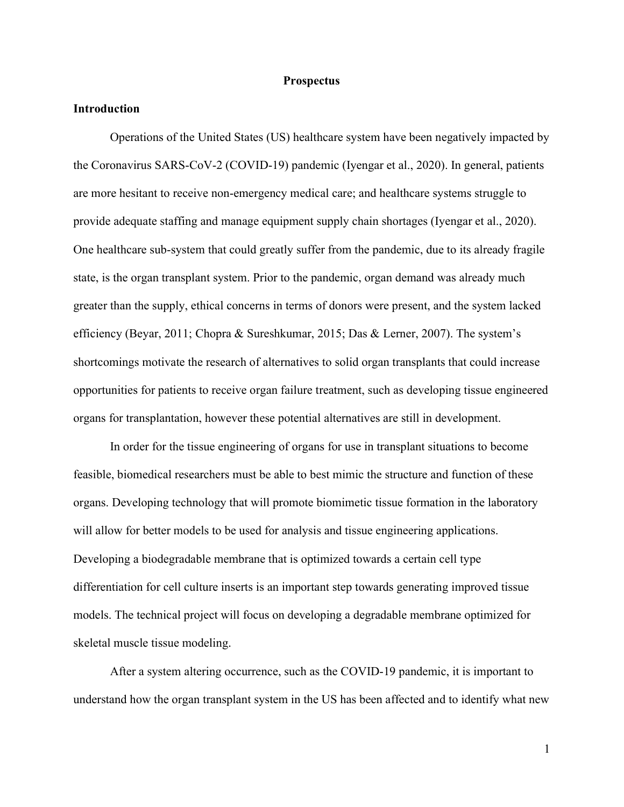#### **Prospectus**

# Introduction

Operations of the United States (US) healthcare system have been negatively impacted by the Coronavirus SARS-CoV-2 (COVID-19) pandemic (Iyengar et al., 2020). In general, patients are more hesitant to receive non-emergency medical care; and healthcare systems struggle to provide adequate staffing and manage equipment supply chain shortages (Iyengar et al., 2020). One healthcare sub-system that could greatly suffer from the pandemic, due to its already fragile state, is the organ transplant system. Prior to the pandemic, organ demand was already much greater than the supply, ethical concerns in terms of donors were present, and the system lacked efficiency (Beyar, 2011; Chopra & Sureshkumar, 2015; Das & Lerner, 2007). The system's shortcomings motivate the research of alternatives to solid organ transplants that could increase opportunities for patients to receive organ failure treatment, such as developing tissue engineered organs for transplantation, however these potential alternatives are still in development.

In order for the tissue engineering of organs for use in transplant situations to become feasible, biomedical researchers must be able to best mimic the structure and function of these organs. Developing technology that will promote biomimetic tissue formation in the laboratory will allow for better models to be used for analysis and tissue engineering applications. Developing a biodegradable membrane that is optimized towards a certain cell type differentiation for cell culture inserts is an important step towards generating improved tissue models. The technical project will focus on developing a degradable membrane optimized for skeletal muscle tissue modeling.

After a system altering occurrence, such as the COVID-19 pandemic, it is important to understand how the organ transplant system in the US has been affected and to identify what new

1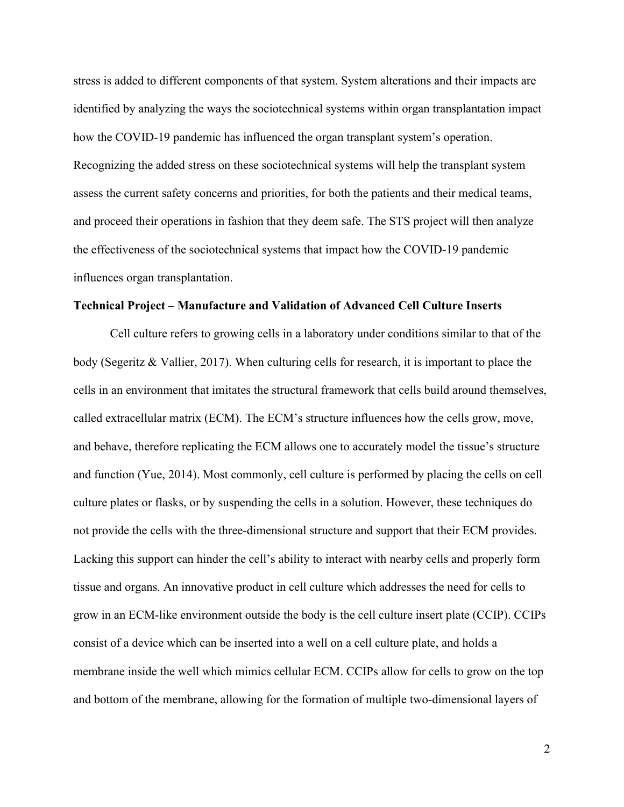stress is added to different components of that system. System alterations and their impacts are identified by analyzing the ways the sociotechnical systems within organ transplantation impact how the COVID-19 pandemic has influenced the organ transplant system's operation. Recognizing the added stress on these sociotechnical systems will help the transplant system assess the current safety concerns and priorities, for both the patients and their medical teams, and proceed their operations in fashion that they deem safe. The STS project will then analyze the effectiveness of the sociotechnical systems that impact how the COVID-19 pandemic influences organ transplantation.

#### Technical Project – Manufacture and Validation of Advanced Cell Culture Inserts

 Cell culture refers to growing cells in a laboratory under conditions similar to that of the body (Segeritz & Vallier, 2017). When culturing cells for research, it is important to place the cells in an environment that imitates the structural framework that cells build around themselves, called extracellular matrix (ECM). The ECM's structure influences how the cells grow, move, and behave, therefore replicating the ECM allows one to accurately model the tissue's structure and function (Yue, 2014). Most commonly, cell culture is performed by placing the cells on cell culture plates or flasks, or by suspending the cells in a solution. However, these techniques do not provide the cells with the three-dimensional structure and support that their ECM provides. Lacking this support can hinder the cell's ability to interact with nearby cells and properly form tissue and organs. An innovative product in cell culture which addresses the need for cells to grow in an ECM-like environment outside the body is the cell culture insert plate (CCIP). CCIPs consist of a device which can be inserted into a well on a cell culture plate, and holds a membrane inside the well which mimics cellular ECM. CCIPs allow for cells to grow on the top and bottom of the membrane, allowing for the formation of multiple two-dimensional layers of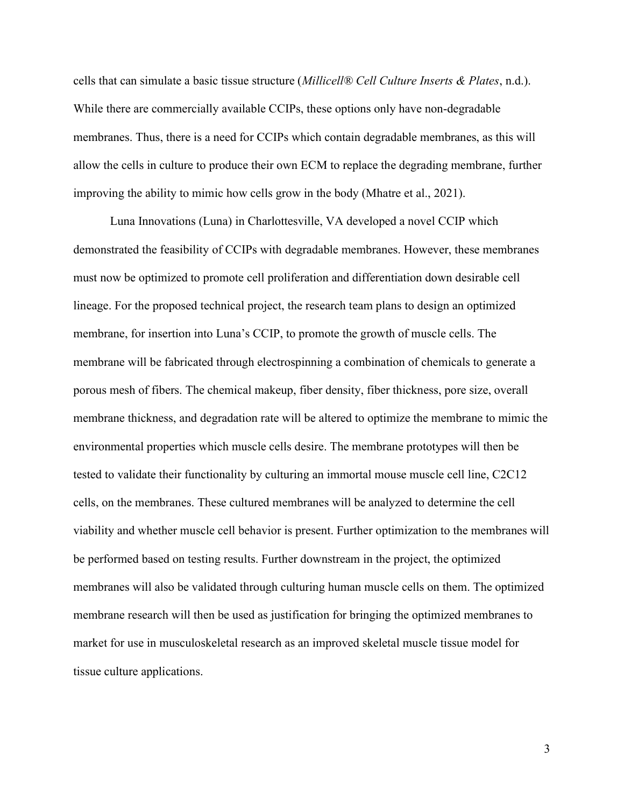cells that can simulate a basic tissue structure (Millicell® Cell Culture Inserts & Plates, n.d.). While there are commercially available CCIPs, these options only have non-degradable membranes. Thus, there is a need for CCIPs which contain degradable membranes, as this will allow the cells in culture to produce their own ECM to replace the degrading membrane, further improving the ability to mimic how cells grow in the body (Mhatre et al., 2021).

Luna Innovations (Luna) in Charlottesville, VA developed a novel CCIP which demonstrated the feasibility of CCIPs with degradable membranes. However, these membranes must now be optimized to promote cell proliferation and differentiation down desirable cell lineage. For the proposed technical project, the research team plans to design an optimized membrane, for insertion into Luna's CCIP, to promote the growth of muscle cells. The membrane will be fabricated through electrospinning a combination of chemicals to generate a porous mesh of fibers. The chemical makeup, fiber density, fiber thickness, pore size, overall membrane thickness, and degradation rate will be altered to optimize the membrane to mimic the environmental properties which muscle cells desire. The membrane prototypes will then be tested to validate their functionality by culturing an immortal mouse muscle cell line, C2C12 cells, on the membranes. These cultured membranes will be analyzed to determine the cell viability and whether muscle cell behavior is present. Further optimization to the membranes will be performed based on testing results. Further downstream in the project, the optimized membranes will also be validated through culturing human muscle cells on them. The optimized membrane research will then be used as justification for bringing the optimized membranes to market for use in musculoskeletal research as an improved skeletal muscle tissue model for tissue culture applications.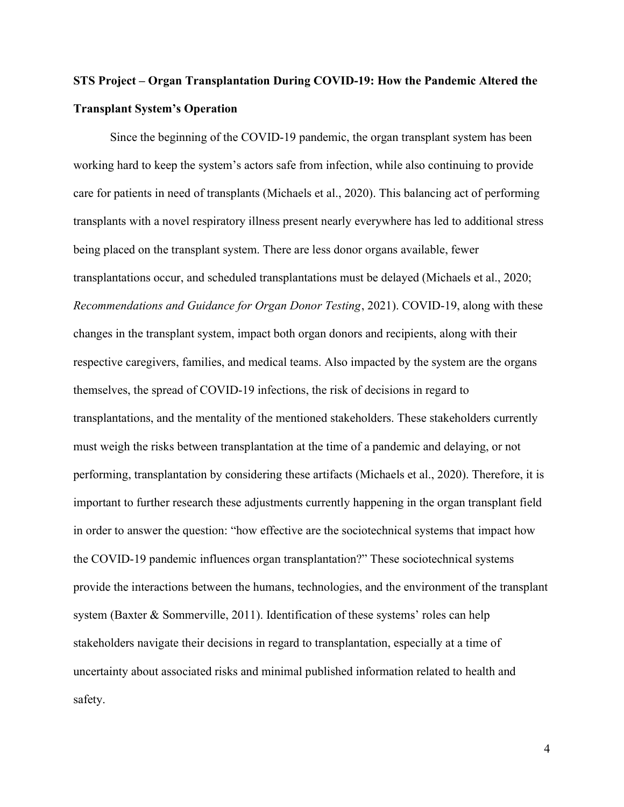# STS Project – Organ Transplantation During COVID-19: How the Pandemic Altered the Transplant System's Operation

Since the beginning of the COVID-19 pandemic, the organ transplant system has been working hard to keep the system's actors safe from infection, while also continuing to provide care for patients in need of transplants (Michaels et al., 2020). This balancing act of performing transplants with a novel respiratory illness present nearly everywhere has led to additional stress being placed on the transplant system. There are less donor organs available, fewer transplantations occur, and scheduled transplantations must be delayed (Michaels et al., 2020; Recommendations and Guidance for Organ Donor Testing, 2021). COVID-19, along with these changes in the transplant system, impact both organ donors and recipients, along with their respective caregivers, families, and medical teams. Also impacted by the system are the organs themselves, the spread of COVID-19 infections, the risk of decisions in regard to transplantations, and the mentality of the mentioned stakeholders. These stakeholders currently must weigh the risks between transplantation at the time of a pandemic and delaying, or not performing, transplantation by considering these artifacts (Michaels et al., 2020). Therefore, it is important to further research these adjustments currently happening in the organ transplant field in order to answer the question: "how effective are the sociotechnical systems that impact how the COVID-19 pandemic influences organ transplantation?" These sociotechnical systems provide the interactions between the humans, technologies, and the environment of the transplant system (Baxter & Sommerville, 2011). Identification of these systems' roles can help stakeholders navigate their decisions in regard to transplantation, especially at a time of uncertainty about associated risks and minimal published information related to health and safety.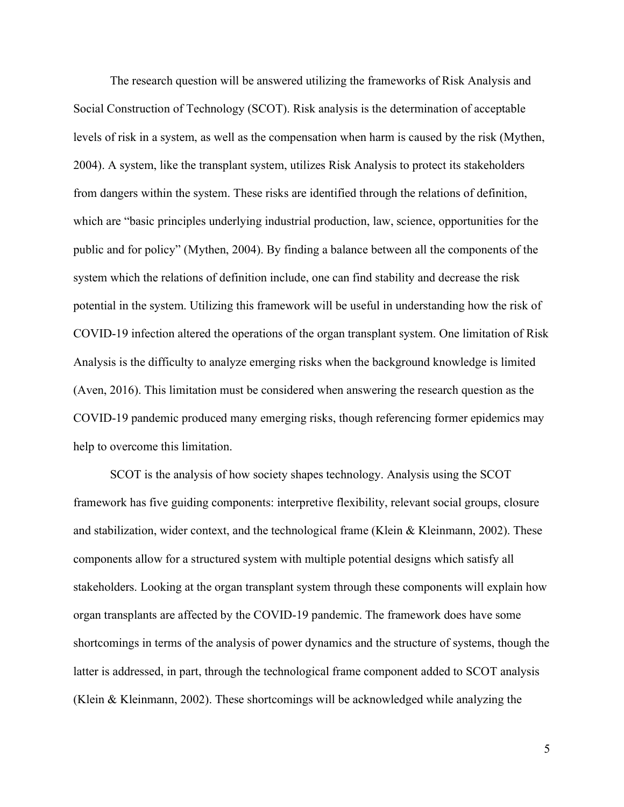The research question will be answered utilizing the frameworks of Risk Analysis and Social Construction of Technology (SCOT). Risk analysis is the determination of acceptable levels of risk in a system, as well as the compensation when harm is caused by the risk (Mythen, 2004). A system, like the transplant system, utilizes Risk Analysis to protect its stakeholders from dangers within the system. These risks are identified through the relations of definition, which are "basic principles underlying industrial production, law, science, opportunities for the public and for policy" (Mythen, 2004). By finding a balance between all the components of the system which the relations of definition include, one can find stability and decrease the risk potential in the system. Utilizing this framework will be useful in understanding how the risk of COVID-19 infection altered the operations of the organ transplant system. One limitation of Risk Analysis is the difficulty to analyze emerging risks when the background knowledge is limited (Aven, 2016). This limitation must be considered when answering the research question as the COVID-19 pandemic produced many emerging risks, though referencing former epidemics may help to overcome this limitation.

SCOT is the analysis of how society shapes technology. Analysis using the SCOT framework has five guiding components: interpretive flexibility, relevant social groups, closure and stabilization, wider context, and the technological frame (Klein & Kleinmann, 2002). These components allow for a structured system with multiple potential designs which satisfy all stakeholders. Looking at the organ transplant system through these components will explain how organ transplants are affected by the COVID-19 pandemic. The framework does have some shortcomings in terms of the analysis of power dynamics and the structure of systems, though the latter is addressed, in part, through the technological frame component added to SCOT analysis (Klein & Kleinmann, 2002). These shortcomings will be acknowledged while analyzing the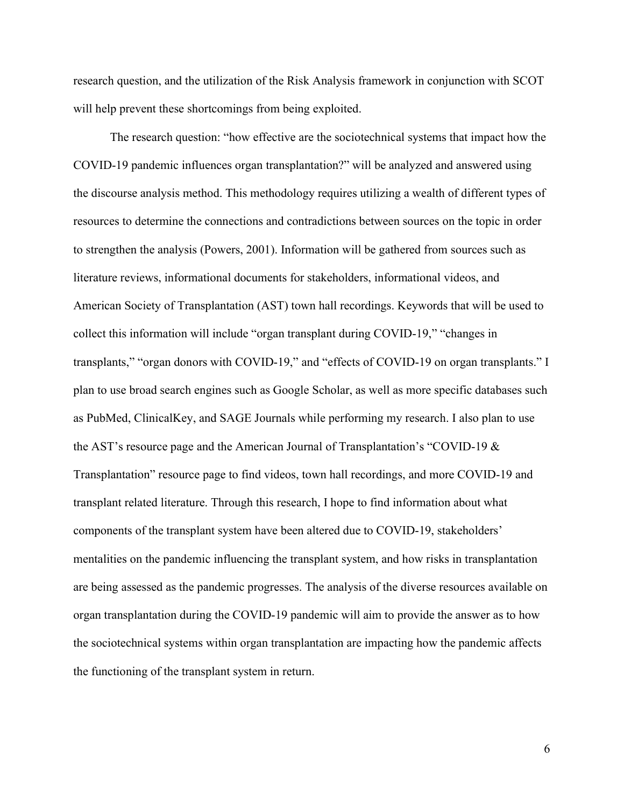research question, and the utilization of the Risk Analysis framework in conjunction with SCOT will help prevent these shortcomings from being exploited.

The research question: "how effective are the sociotechnical systems that impact how the COVID-19 pandemic influences organ transplantation?" will be analyzed and answered using the discourse analysis method. This methodology requires utilizing a wealth of different types of resources to determine the connections and contradictions between sources on the topic in order to strengthen the analysis (Powers, 2001). Information will be gathered from sources such as literature reviews, informational documents for stakeholders, informational videos, and American Society of Transplantation (AST) town hall recordings. Keywords that will be used to collect this information will include "organ transplant during COVID-19," "changes in transplants," "organ donors with COVID-19," and "effects of COVID-19 on organ transplants." I plan to use broad search engines such as Google Scholar, as well as more specific databases such as PubMed, ClinicalKey, and SAGE Journals while performing my research. I also plan to use the AST's resource page and the American Journal of Transplantation's "COVID-19 & Transplantation" resource page to find videos, town hall recordings, and more COVID-19 and transplant related literature. Through this research, I hope to find information about what components of the transplant system have been altered due to COVID-19, stakeholders' mentalities on the pandemic influencing the transplant system, and how risks in transplantation are being assessed as the pandemic progresses. The analysis of the diverse resources available on organ transplantation during the COVID-19 pandemic will aim to provide the answer as to how the sociotechnical systems within organ transplantation are impacting how the pandemic affects the functioning of the transplant system in return.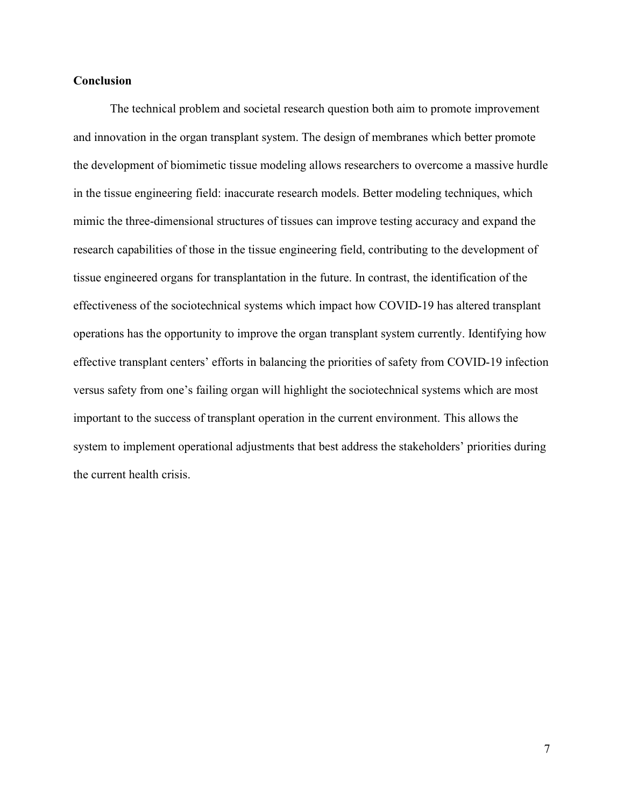# **Conclusion**

The technical problem and societal research question both aim to promote improvement and innovation in the organ transplant system. The design of membranes which better promote the development of biomimetic tissue modeling allows researchers to overcome a massive hurdle in the tissue engineering field: inaccurate research models. Better modeling techniques, which mimic the three-dimensional structures of tissues can improve testing accuracy and expand the research capabilities of those in the tissue engineering field, contributing to the development of tissue engineered organs for transplantation in the future. In contrast, the identification of the effectiveness of the sociotechnical systems which impact how COVID-19 has altered transplant operations has the opportunity to improve the organ transplant system currently. Identifying how effective transplant centers' efforts in balancing the priorities of safety from COVID-19 infection versus safety from one's failing organ will highlight the sociotechnical systems which are most important to the success of transplant operation in the current environment. This allows the system to implement operational adjustments that best address the stakeholders' priorities during the current health crisis.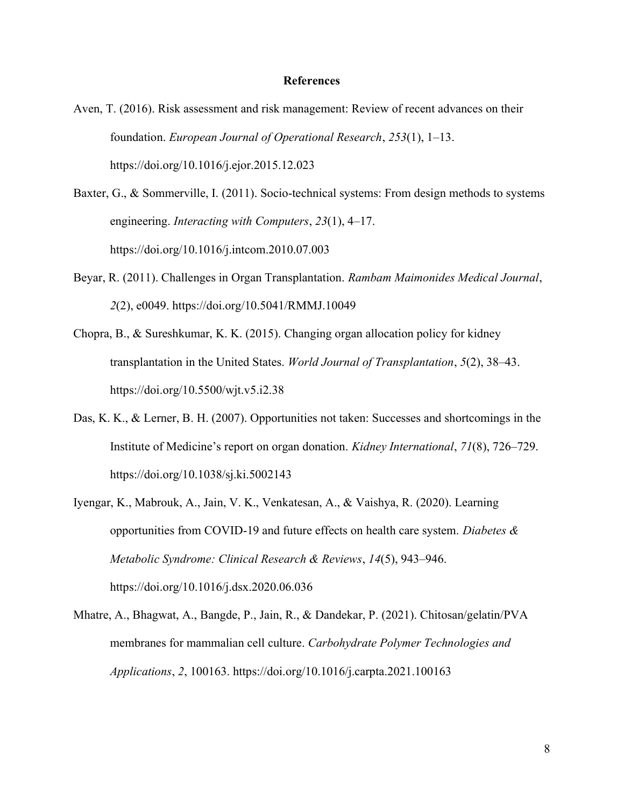#### References

- Aven, T. (2016). Risk assessment and risk management: Review of recent advances on their foundation. European Journal of Operational Research, 253(1), 1–13. https://doi.org/10.1016/j.ejor.2015.12.023
- Baxter, G., & Sommerville, I. (2011). Socio-technical systems: From design methods to systems engineering. Interacting with Computers, 23(1), 4–17. https://doi.org/10.1016/j.intcom.2010.07.003
- Beyar, R. (2011). Challenges in Organ Transplantation. Rambam Maimonides Medical Journal, 2(2), e0049. https://doi.org/10.5041/RMMJ.10049
- Chopra, B., & Sureshkumar, K. K. (2015). Changing organ allocation policy for kidney transplantation in the United States. *World Journal of Transplantation*, 5(2), 38–43. https://doi.org/10.5500/wjt.v5.i2.38
- Das, K. K., & Lerner, B. H. (2007). Opportunities not taken: Successes and shortcomings in the Institute of Medicine's report on organ donation. Kidney International, 71(8), 726–729. https://doi.org/10.1038/sj.ki.5002143
- Iyengar, K., Mabrouk, A., Jain, V. K., Venkatesan, A., & Vaishya, R. (2020). Learning opportunities from COVID-19 and future effects on health care system. Diabetes  $\&$ Metabolic Syndrome: Clinical Research & Reviews, 14(5), 943–946. https://doi.org/10.1016/j.dsx.2020.06.036
- Mhatre, A., Bhagwat, A., Bangde, P., Jain, R., & Dandekar, P. (2021). Chitosan/gelatin/PVA membranes for mammalian cell culture. Carbohydrate Polymer Technologies and Applications, 2, 100163. https://doi.org/10.1016/j.carpta.2021.100163